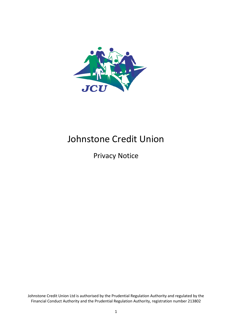

# Johnstone Credit Union

Privacy Notice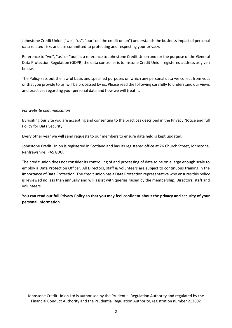Johnstone Credit Union ("we", "us", "our" or "the credit union") understands the business impact of personal data related risks and are committed to protecting and respecting your privacy.

Reference to "we", "us" or "our" is a reference to Johnstone Credit Union and for the purpose of the General Data Protection Regulation (GDPR) the data controller is Johnstone Credit Union registered address as given below.

The Policy sets out the lawful basis and specified purposes on which any personal data we collect from you, or that you provide to us, will be processed by us. Please read the following carefully to understand our views and practices regarding your personal data and how we will treat it.

# *For website communication*

By visiting our Site you are accepting and consenting to the practices described in the Privacy Notice and full Policy for Data Security.

Every other year we will send requests to our members to ensure data held is kept updated.

Johnstone Credit Union is registered in Scotland and has its registered office at 26 Church Street, Johnstone, Renfrewshire, PA5 8DU.

The credit union does not consider its controlling of and processing of data to be on a large enough scale to employ a Data Protection Officer. All Directors, staff & volunteers are subject to continuous training in the importance of Data Protection. The credit union has a Data Protection representative who ensures this policy is reviewed no less than annually and will assist with queries raised by the membership, Directors, staff and volunteers.

**You can read our full Privacy Policy so that you may feel confident about the privacy and security of your personal information.**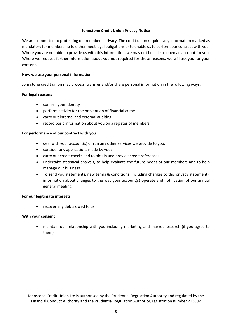#### **Johnstone Credit Union Privacy Notice**

We are committed to protecting our members' privacy. The credit union requires any information marked as mandatory for membership to either meet legal obligations or to enable us to perform our contract with you. Where you are not able to provide us with this information, we may not be able to open an account for you. Where we request further information about you not required for these reasons, we will ask you for your consent.

#### **How we use your personal information**

Johnstone credit union may process, transfer and/or share personal information in the following ways:

#### **For legal reasons**

- confirm your identity
- perform activity for the prevention of financial crime
- carry out internal and external auditing
- record basic information about you on a register of members

#### **For performance of our contract with you**

- deal with your account(s) or run any other services we provide to you;
- consider any applications made by you;
- carry out credit checks and to obtain and provide credit references
- undertake statistical analysis, to help evaluate the future needs of our members and to help manage our business
- To send you statements, new terms & conditions (including changes to this privacy statement), information about changes to the way your account(s) operate and notification of our annual general meeting.

#### **For our legitimate interests**

• recover any debts owed to us

#### **With your consent**

• maintain our relationship with you including marketing and market research (if you agree to them).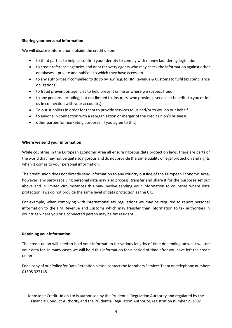# **Sharing your personal information**

We will disclose information outside the credit union:

- to third parties to help us confirm your identity to comply with money laundering legislation
- to credit reference agencies and debt recovery agents who may check the information against other databases – private and public – to which they have access to
- to any authorities if compelled to do so by law (e.g. to HM Revenue & Customs to fulfil tax compliance obligations)
- to fraud prevention agencies to help prevent crime or where we suspect fraud;
- to any persons, including, but not limited to, insurers, who provide a service or benefits to you or for us in connection with your account(s)
- To our suppliers in order for them to provide services to us and/or to you on our behalf
- to anyone in connection with a reorganisation or merger of the credit union's business
- other parties for marketing purposes (if you agree to this)

#### **Where we send your information**

While countries in the European Economic Area all ensure rigorous data protection laws, there are parts of the world that may not be quite so rigorous and do not provide the same quality of legal protection and rights when it comes to your personal information.

The credit union does not directly send information to any country outside of the European Economic Area, however, any party receiving personal data may also process, transfer and share it for the purposes set out above and in limited circumstances this may involve sending your information to countries where data protection laws do not provide the same level of data protection as the UK.

For example, when complying with international tax regulations we may be required to report personal information to the HM Revenue and Customs which may transfer than information to tax authorities in countries where you or a connected person may be tax resident.

#### **Retaining your information**

The credit union will need to hold your information for various lengths of time depending on what we use your data for. In many cases we will hold this information for a period of time after you have left the credit union.

For a copy of our Policy for Data Retention please contact the Members Services Team on telephone number: 01505 327148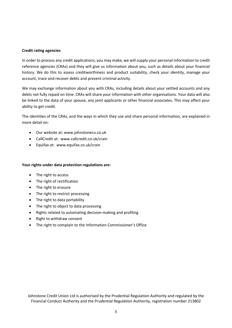## **Credit rating agencies**

In order to process any credit applications, you may make, we will supply your personal information to credit reference agencies (CRAs) and they will give us information about you, such as details about your financial history. We do this to assess creditworthiness and product suitability, check your identity, manage your account, trace and recover debts and prevent criminal activity.

We may exchange information about you with CRAs, including details about your settled accounts and any debts not fully repaid on time. CRAs will share your information with other organisations. Your data will also be linked to the data of your spouse, any joint applicants or other financial associates. This may affect your ability to get credit.

The identities of the CRAs, and the ways in which they use and share personal information, are explained in more detail on:

- Our website at: www.johnstonecu.co.uk
- CallCredit at: www.callcredit.co.uk/crain
- Equifax at: www.equifax.co.uk/crain

# **Your rights under data protection regulations are:**

- The right to access
- The right of rectification
- The right to erasure
- The right to restrict processing
- The right to data portability
- The right to object to data processing
- Rights related to automating decision-making and profiling
- Right to withdraw consent
- The right to complain to the Information Commissioner's Office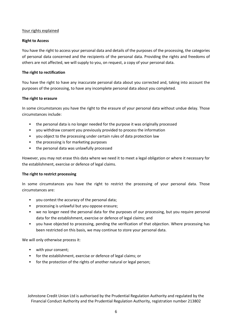## Your rights explained

## **Right to Access**

You have the right to access your personal data and details of the purposes of the processing, the categories of personal data concerned and the recipients of the personal data. Providing the rights and freedoms of others are not affected, we will supply to you, on request, a copy of your personal data.

## **The right to rectification**

You have the right to have any inaccurate personal data about you corrected and, taking into account the purposes of the processing, to have any incomplete personal data about you completed.

## **The right to erasure**

In some circumstances you have the right to the erasure of your personal data without undue delay. Those circumstances include:

- the personal data is no longer needed for the purpose it was originally processed
- you withdraw consent you previously provided to process the information
- you object to the processing under certain rules of data protection law
- the processing is for marketing purposes
- the personal data was unlawfully processed

However, you may not erase this data where we need it to meet a legal obligation or where it necessary for the establishment, exercise or defence of legal claims.

#### **The right to restrict processing**

In some circumstances you have the right to restrict the processing of your personal data. Those circumstances are:

- you contest the accuracy of the personal data;
- processing is unlawful but you oppose erasure;
- we no longer need the personal data for the purposes of our processing, but you require personal data for the establishment, exercise or defence of legal claims; and
- you have objected to processing, pending the verification of that objection. Where processing has been restricted on this basis, we may continue to store your personal data.

We will only otherwise process it:

- with your consent;
- for the establishment, exercise or defence of legal claims; or
- for the protection of the rights of another natural or legal person;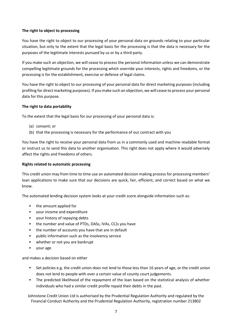# **The right to object to processing**

You have the right to object to our processing of your personal data on grounds relating to your particular situation, but only to the extent that the legal basis for the processing is that the data is necessary for the purposes of the legitimate interests pursued by us or by a third party.

If you make such an objection, we will cease to process the personal information unless we can demonstrate compelling legitimate grounds for the processing which override your interests, rights and freedoms, or the processing is for the establishment, exercise or defence of legal claims.

You have the right to object to our processing of your personal data for direct marketing purposes (including profiling for direct marketing purposes). If you make such an objection, we will cease to process your personal data for this purpose.

## **The right to data portability**

To the extent that the legal basis for our processing of your personal data is:

- (a) consent; or
- (b) that the processing is necessary for the performance of our contract with you

You have the right to receive your personal data from us in a commonly used and machine-readable format or instruct us to send this data to another organisation. This right does not apply where it would adversely affect the rights and freedoms of others.

#### **Rights related to automatic processing**

This credit union may from time to time use an automated decision making process for processing members' loan applications to make sure that our decisions are quick, fair, efficient, and correct based on what we know.

The automated lending decision system looks at your credit score alongside information such as:

- the amount applied for
- vour income and expenditure
- your history of repaying debts
- the number and value of PTDs, DASs, IVAs, CCJs you have
- the number of accounts you have that are in default
- public information such as the insolvency service
- whether or not you are bankrupt
- your age

and makes a decision based on either

- Set policies e.g. the credit union does not lend to those less than 16 years of age, or the credit union does not lend to people with over a certain value of county court judgements.
- The predicted likelihood of the repayment of the loan based on the statistical analysis of whether individuals who had a similar credit profile repaid their debts in the past.